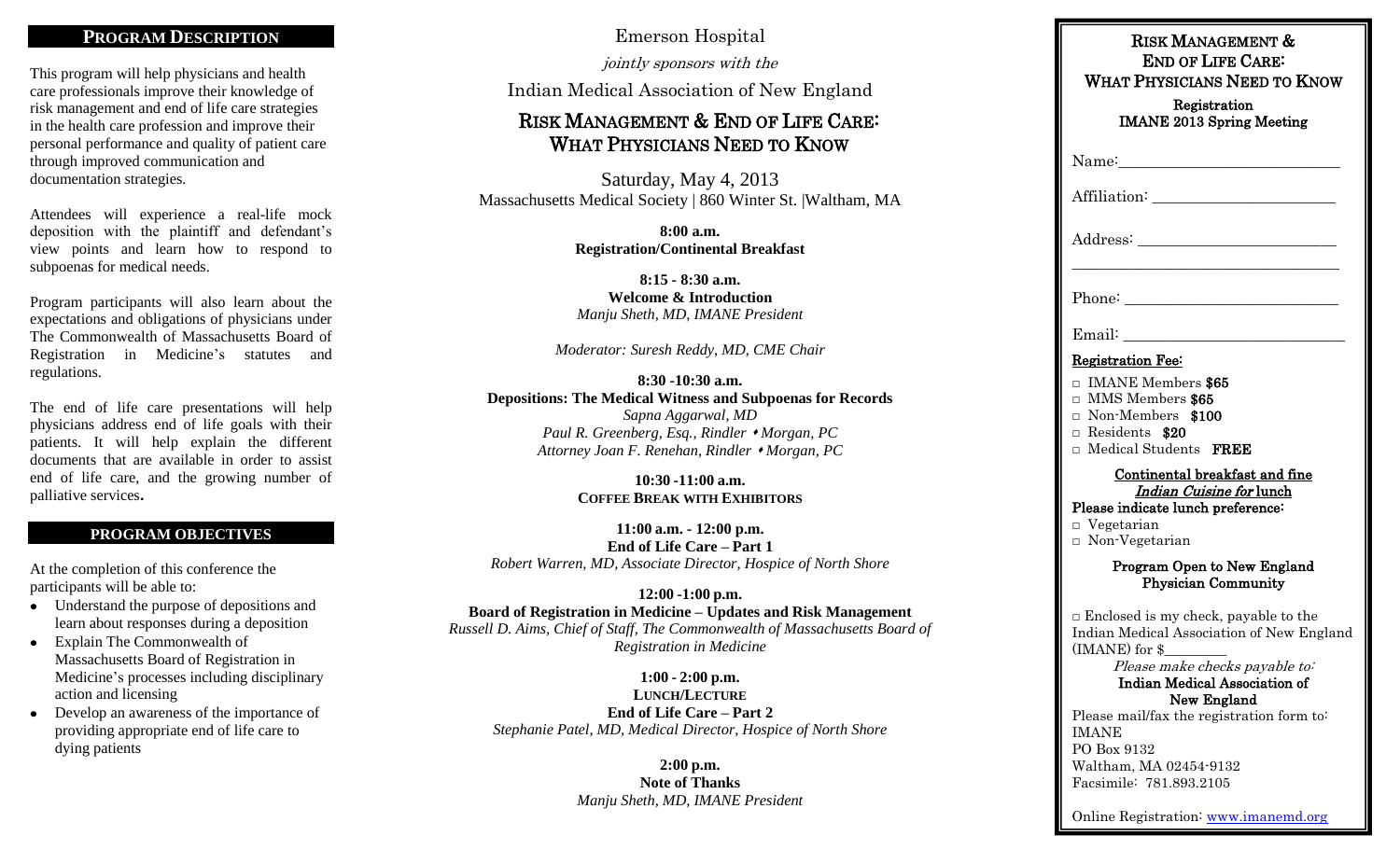#### **PROGRAM DESCRIPTION**

This program will help physicians and health care professionals improve their knowledge of risk management and end of life care strategies in the health care profession and improve their personal performance and quality of patient care through improved communication and documentation strategies.

Attendees will experience a real-life mock deposition with the plaintiff and defendant's view points and learn how to respond to subpoenas for medical needs.

Program participants will also learn about the expectations and obligations of physicians under The Commonwealth of Massachusetts Board of Registration in Medicine's statutes and regulations.

The end of life care presentations will help physicians address end of life goals with their patients. It will help explain the different documents that are available in order to assist end of life care, and the growing number of palliative services**.**

#### **PROGRAM OBJECTIVES**

At the completion of this conference the participants will be able to:

- Understand the purpose of depositions and learn about responses during a deposition
- Explain The Commonwealth of Massachusetts Board of Registration in Medicine's processes including disciplinary action and licensing
- Develop an awareness of the importance of providing appropriate end of life care to dying patients

Emerson Hospital

jointly sponsors with the

Indian Medical Association of New England

## RISK MANAGEMENT & END OF LIFE CARE: WHAT PHYSICIANS NEED TO KNOW

Saturday, May 4, 2013 Massachusetts Medical Society | 860 Winter St. |Waltham, MA

> **8:00 a.m. Registration/Continental Breakfast**

**8:15 - 8:30 a.m. Welcome & Introduction** *Manju Sheth, MD, IMANE President*

*Moderator: Suresh Reddy, MD, CME Chair*

#### **8:30 -10:30 a.m. Depositions: The Medical Witness and Subpoenas for Records**

*Sapna Aggarwal, MD Paul R. Greenberg, Esq., Rindler Morgan, PC Attorney Joan F. Renehan, Rindler Morgan, PC*

> **10:30 -11:00 a.m. COFFEE BREAK WITH EXHIBITORS**

**11:00 a.m. - 12:00 p.m. End of Life Care – Part 1** *Robert Warren, MD, Associate Director, Hospice of North Shore*

#### **12:00 -1:00 p.m. Board of Registration in Medicine – Updates and Risk Management** *Russell D. Aims, Chief of Staff, The Commonwealth of Massachusetts Board of Registration in Medicine*

**1:00 - 2:00 p.m. LUNCH/LECTURE End of Life Care – Part 2** *Stephanie Patel, MD, Medical Director, Hospice of North Shore*

> **2:00 p.m. Note of Thanks** *Manju Sheth, MD, IMANE President*

| RISK MANAGEMENT &<br><b>END OF LIFE CARE:</b><br><b>WHAT PHYSICIANS NEED TO KNOW</b>                                                                                                                |
|-----------------------------------------------------------------------------------------------------------------------------------------------------------------------------------------------------|
| Registration<br><b>IMANE 2013 Spring Meeting</b>                                                                                                                                                    |
|                                                                                                                                                                                                     |
|                                                                                                                                                                                                     |
|                                                                                                                                                                                                     |
|                                                                                                                                                                                                     |
|                                                                                                                                                                                                     |
| <b>Registration Fee:</b>                                                                                                                                                                            |
| $\Box$ IMANE Members \$65<br>□ MMS Members \$65<br>Non-Members \$100<br>Residents \$20<br>□ Medical Students FREE                                                                                   |
| Continental breakfast and fine<br>Indian Cuisine for lunch                                                                                                                                          |
| Please indicate lunch preference:<br>$\Box$ Vegetarian<br>$\Box$ Non-Vegetarian                                                                                                                     |
| Program Open to New England<br><b>Physician Community</b>                                                                                                                                           |
| $\Box$ Enclosed is my check, payable to the<br>Indian Medical Association of New England<br>(IMANE) for \$<br>Please make checks payable to:<br><b>Indian Medical Association of</b><br>New England |

Please mail/fax the registration form to: IMANE PO Box 9132 Waltham, MA 02454-9132 Facsimile: 781.893.2105

Online Registration: [www.imanemd.org](http://www.imanemd.org/)